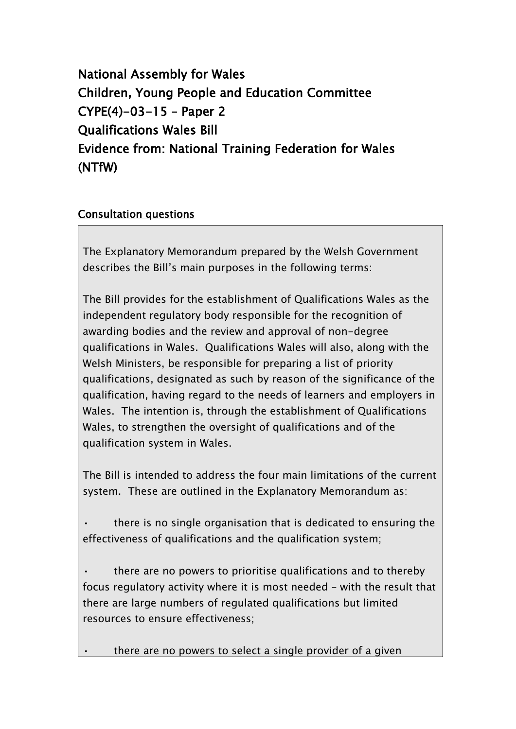National Assembly for Wales Children, Young People and Education Committee CYPE(4)-03-15 – Paper 2 Qualifications Wales Bill Evidence from: National Training Federation for Wales (NTfW)

## Consultation questions

The Explanatory Memorandum prepared by the Welsh Government describes the Bill"s main purposes in the following terms:

The Bill provides for the establishment of Qualifications Wales as the independent regulatory body responsible for the recognition of awarding bodies and the review and approval of non-degree qualifications in Wales. Qualifications Wales will also, along with the Welsh Ministers, be responsible for preparing a list of priority qualifications, designated as such by reason of the significance of the qualification, having regard to the needs of learners and employers in Wales. The intention is, through the establishment of Qualifications Wales, to strengthen the oversight of qualifications and of the qualification system in Wales.

The Bill is intended to address the four main limitations of the current system. These are outlined in the Explanatory Memorandum as:

• there is no single organisation that is dedicated to ensuring the effectiveness of qualifications and the qualification system;

 $\cdot$  there are no powers to prioritise qualifications and to thereby focus regulatory activity where it is most needed – with the result that there are large numbers of regulated qualifications but limited resources to ensure effectiveness;

there are no powers to select a single provider of a given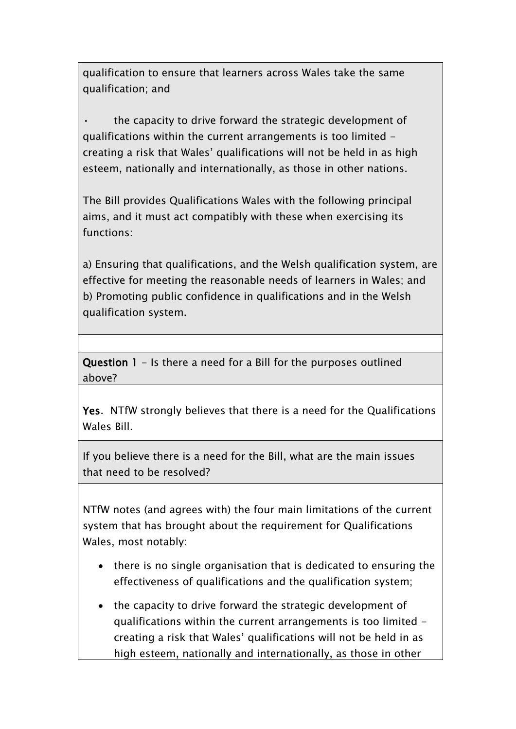qualification to ensure that learners across Wales take the same qualification; and

the capacity to drive forward the strategic development of qualifications within the current arrangements is too limited creating a risk that Wales" qualifications will not be held in as high esteem, nationally and internationally, as those in other nations.

The Bill provides Qualifications Wales with the following principal aims, and it must act compatibly with these when exercising its functions:

a) Ensuring that qualifications, and the Welsh qualification system, are effective for meeting the reasonable needs of learners in Wales; and b) Promoting public confidence in qualifications and in the Welsh qualification system.

Question 1 - Is there a need for a Bill for the purposes outlined above?

Yes. NTfW strongly believes that there is a need for the Qualifications Wales Bill.

If you believe there is a need for the Bill, what are the main issues that need to be resolved?

NTfW notes (and agrees with) the four main limitations of the current system that has brought about the requirement for Qualifications Wales, most notably:

- there is no single organisation that is dedicated to ensuring the effectiveness of qualifications and the qualification system;
- the capacity to drive forward the strategic development of qualifications within the current arrangements is too limited creating a risk that Wales" qualifications will not be held in as high esteem, nationally and internationally, as those in other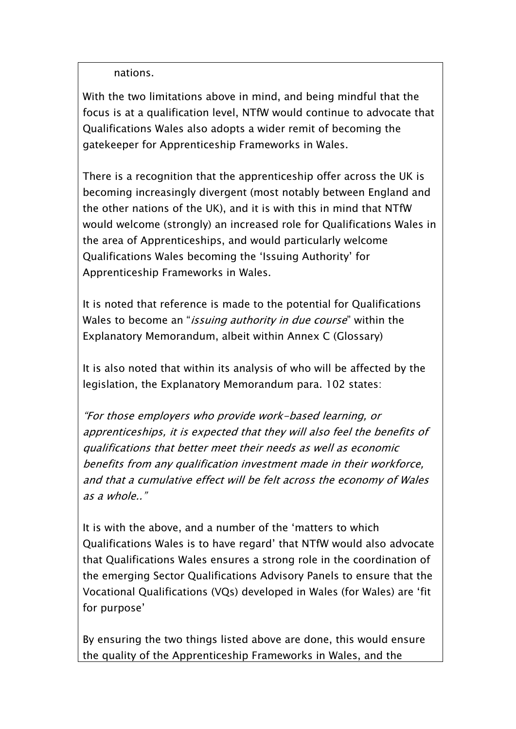nations.

With the two limitations above in mind, and being mindful that the focus is at a qualification level, NTfW would continue to advocate that Qualifications Wales also adopts a wider remit of becoming the gatekeeper for Apprenticeship Frameworks in Wales.

There is a recognition that the apprenticeship offer across the UK is becoming increasingly divergent (most notably between England and the other nations of the UK), and it is with this in mind that NTfW would welcome (strongly) an increased role for Qualifications Wales in the area of Apprenticeships, and would particularly welcome Qualifications Wales becoming the "Issuing Authority" for Apprenticeship Frameworks in Wales.

It is noted that reference is made to the potential for Qualifications Wales to become an "*issuing authority in due course*" within the Explanatory Memorandum, albeit within Annex C (Glossary)

It is also noted that within its analysis of who will be affected by the legislation, the Explanatory Memorandum para. 102 states:

"For those employers who provide work-based learning, or apprenticeships, it is expected that they will also feel the benefits of qualifications that better meet their needs as well as economic benefits from any qualification investment made in their workforce, and that a cumulative effect will be felt across the economy of Wales as a whole.."

It is with the above, and a number of the "matters to which Qualifications Wales is to have regard" that NTfW would also advocate that Qualifications Wales ensures a strong role in the coordination of the emerging Sector Qualifications Advisory Panels to ensure that the Vocational Qualifications (VQs) developed in Wales (for Wales) are "fit for purpose'

By ensuring the two things listed above are done, this would ensure the quality of the Apprenticeship Frameworks in Wales, and the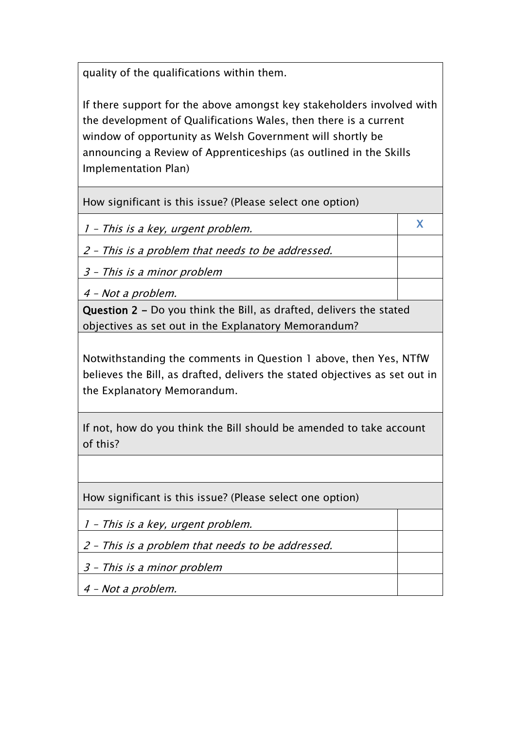quality of the qualifications within them.

If there support for the above amongst key stakeholders involved with the development of Qualifications Wales, then there is a current window of opportunity as Welsh Government will shortly be announcing a Review of Apprenticeships (as outlined in the Skills Implementation Plan)

X

How significant is this issue? (Please select one option)

1 – This is a key, urgent problem.

2 – This is a problem that needs to be addressed.

3 – This is a minor problem

4 – Not a problem.

Question 2 - Do you think the Bill, as drafted, delivers the stated objectives as set out in the Explanatory Memorandum?

Notwithstanding the comments in Question 1 above, then Yes, NTfW believes the Bill, as drafted, delivers the stated objectives as set out in the Explanatory Memorandum.

If not, how do you think the Bill should be amended to take account of this?

How significant is this issue? (Please select one option)

1 – This is a key, urgent problem.

2 – This is a problem that needs to be addressed.

3 – This is a minor problem

4 – Not a problem.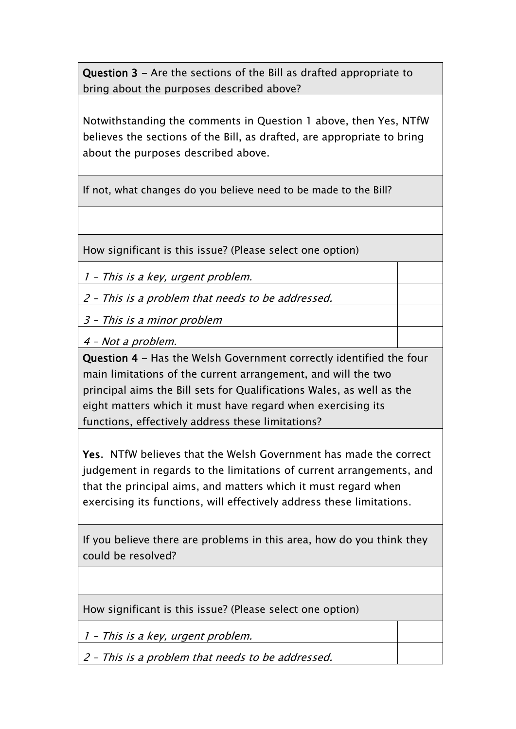Question 3 - Are the sections of the Bill as drafted appropriate to bring about the purposes described above?

Notwithstanding the comments in Question 1 above, then Yes, NTfW believes the sections of the Bill, as drafted, are appropriate to bring about the purposes described above.

If not, what changes do you believe need to be made to the Bill?

How significant is this issue? (Please select one option)

1 – This is a key, urgent problem.

2 – This is a problem that needs to be addressed.

3 – This is a minor problem

4 – Not a problem.

Question 4 - Has the Welsh Government correctly identified the four main limitations of the current arrangement, and will the two principal aims the Bill sets for Qualifications Wales, as well as the eight matters which it must have regard when exercising its functions, effectively address these limitations?

Yes. NTfW believes that the Welsh Government has made the correct judgement in regards to the limitations of current arrangements, and that the principal aims, and matters which it must regard when exercising its functions, will effectively address these limitations.

If you believe there are problems in this area, how do you think they could be resolved?

How significant is this issue? (Please select one option)

1 – This is a key, urgent problem.

2 – This is a problem that needs to be addressed.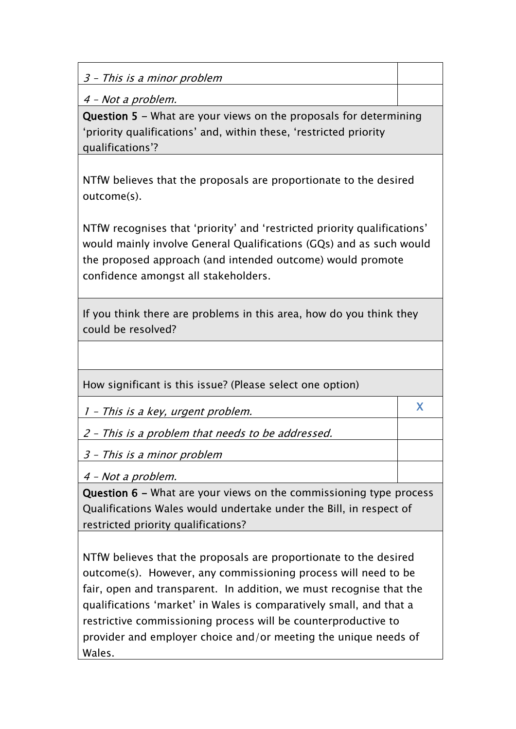3 – This is a minor problem

4 – Not a problem.

Question 5 - What are your views on the proposals for determining "priority qualifications" and, within these, "restricted priority qualifications"?

NTfW believes that the proposals are proportionate to the desired outcome(s).

NTfW recognises that "priority" and "restricted priority qualifications" would mainly involve General Qualifications (GQs) and as such would the proposed approach (and intended outcome) would promote confidence amongst all stakeholders.

If you think there are problems in this area, how do you think they could be resolved?

How significant is this issue? (Please select one option)

1 – This is a key, urgent problem.

2 – This is a problem that needs to be addressed.

3 – This is a minor problem

4 – Not a problem.

Question 6 - What are your views on the commissioning type process Qualifications Wales would undertake under the Bill, in respect of restricted priority qualifications?

X

NTfW believes that the proposals are proportionate to the desired outcome(s). However, any commissioning process will need to be fair, open and transparent. In addition, we must recognise that the qualifications "market" in Wales is comparatively small, and that a restrictive commissioning process will be counterproductive to provider and employer choice and/or meeting the unique needs of Wales.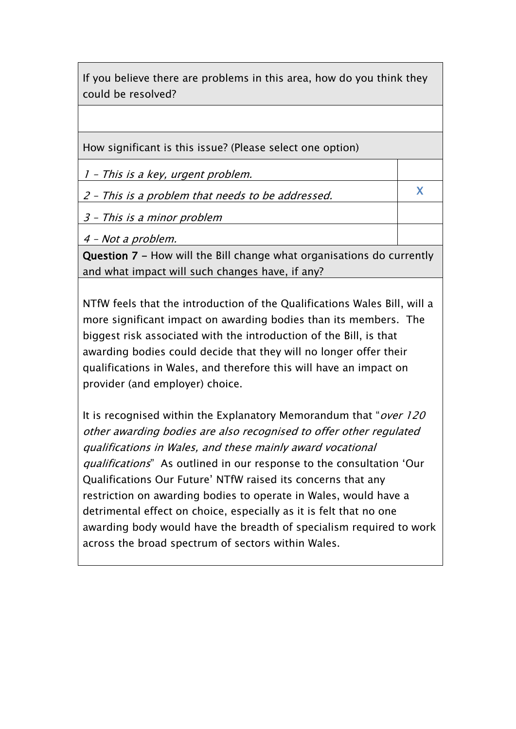If you believe there are problems in this area, how do you think they could be resolved?

How significant is this issue? (Please select one option)

1 – This is a key, urgent problem.

2 – This is a problem that needs to be addressed.

X

3 – This is a minor problem

4 – Not a problem.

Question 7 - How will the Bill change what organisations do currently and what impact will such changes have, if any?

NTfW feels that the introduction of the Qualifications Wales Bill, will a more significant impact on awarding bodies than its members. The biggest risk associated with the introduction of the Bill, is that awarding bodies could decide that they will no longer offer their qualifications in Wales, and therefore this will have an impact on provider (and employer) choice.

It is recognised within the Explanatory Memorandum that "over 120 other awarding bodies are also recognised to offer other regulated qualifications in Wales, and these mainly award vocational qualifications" As outlined in our response to the consultation "Our Qualifications Our Future" NTfW raised its concerns that any restriction on awarding bodies to operate in Wales, would have a detrimental effect on choice, especially as it is felt that no one awarding body would have the breadth of specialism required to work across the broad spectrum of sectors within Wales.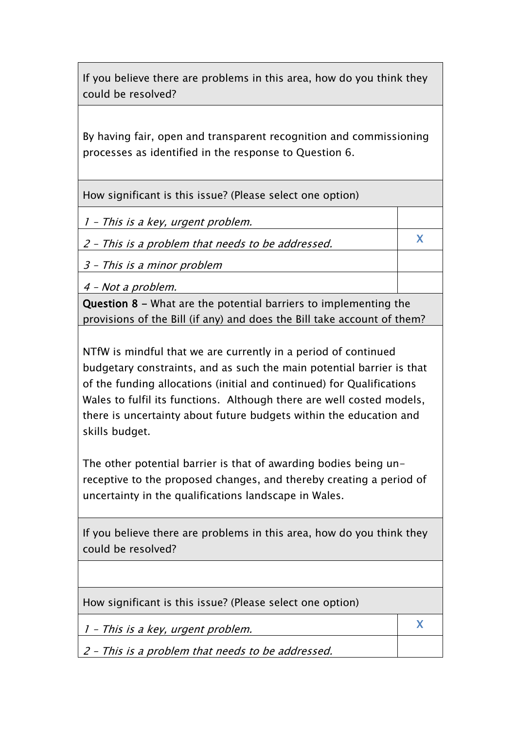If you believe there are problems in this area, how do you think they could be resolved?

By having fair, open and transparent recognition and commissioning processes as identified in the response to Question 6.

How significant is this issue? (Please select one option)

1 – This is a key, urgent problem.

2 – This is a problem that needs to be addressed.

3 – This is a minor problem

4 – Not a problem.

Question 8 - What are the potential barriers to implementing the provisions of the Bill (if any) and does the Bill take account of them?

X

X

NTfW is mindful that we are currently in a period of continued budgetary constraints, and as such the main potential barrier is that of the funding allocations (initial and continued) for Qualifications Wales to fulfil its functions. Although there are well costed models, there is uncertainty about future budgets within the education and skills budget.

The other potential barrier is that of awarding bodies being unreceptive to the proposed changes, and thereby creating a period of uncertainty in the qualifications landscape in Wales.

If you believe there are problems in this area, how do you think they could be resolved?

How significant is this issue? (Please select one option)

1 – This is a key, urgent problem.

2 – This is a problem that needs to be addressed.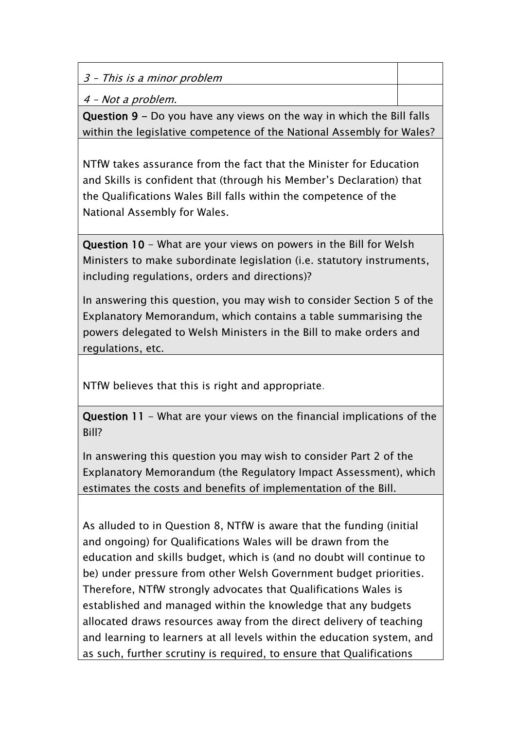3 – This is a minor problem

4 – Not a problem.

Question 9 - Do you have any views on the way in which the Bill falls within the legislative competence of the National Assembly for Wales?

NTfW takes assurance from the fact that the Minister for Education and Skills is confident that (through his Member"s Declaration) that the Qualifications Wales Bill falls within the competence of the National Assembly for Wales.

Question 10 - What are your views on powers in the Bill for Welsh Ministers to make subordinate legislation (i.e. statutory instruments, including regulations, orders and directions)?

In answering this question, you may wish to consider Section 5 of the Explanatory Memorandum, which contains a table summarising the powers delegated to Welsh Ministers in the Bill to make orders and regulations, etc.

NTfW believes that this is right and appropriate.

Question 11 - What are your views on the financial implications of the Bill?

In answering this question you may wish to consider Part 2 of the Explanatory Memorandum (the Regulatory Impact Assessment), which estimates the costs and benefits of implementation of the Bill.

As alluded to in Question 8, NTfW is aware that the funding (initial and ongoing) for Qualifications Wales will be drawn from the education and skills budget, which is (and no doubt will continue to be) under pressure from other Welsh Government budget priorities. Therefore, NTfW strongly advocates that Qualifications Wales is established and managed within the knowledge that any budgets allocated draws resources away from the direct delivery of teaching and learning to learners at all levels within the education system, and as such, further scrutiny is required, to ensure that Qualifications